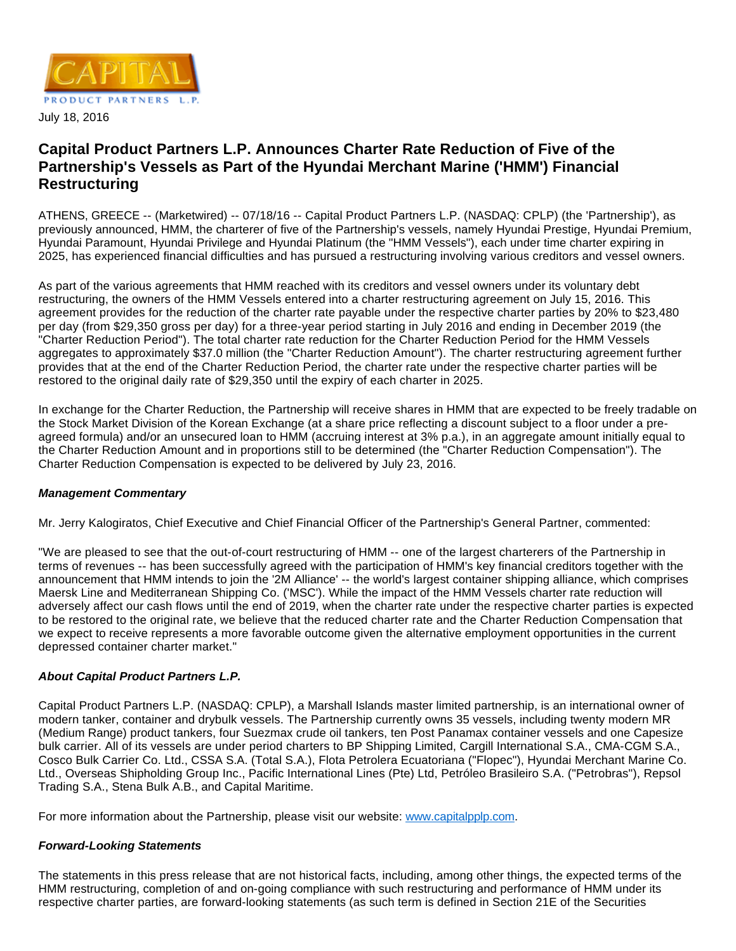

## **Capital Product Partners L.P. Announces Charter Rate Reduction of Five of the Partnership's Vessels as Part of the Hyundai Merchant Marine ('HMM') Financial Restructuring**

ATHENS, GREECE -- (Marketwired) -- 07/18/16 -- Capital Product Partners L.P. (NASDAQ: CPLP) (the 'Partnership'), as previously announced, HMM, the charterer of five of the Partnership's vessels, namely Hyundai Prestige, Hyundai Premium, Hyundai Paramount, Hyundai Privilege and Hyundai Platinum (the "HMM Vessels"), each under time charter expiring in 2025, has experienced financial difficulties and has pursued a restructuring involving various creditors and vessel owners.

As part of the various agreements that HMM reached with its creditors and vessel owners under its voluntary debt restructuring, the owners of the HMM Vessels entered into a charter restructuring agreement on July 15, 2016. This agreement provides for the reduction of the charter rate payable under the respective charter parties by 20% to \$23,480 per day (from \$29,350 gross per day) for a three-year period starting in July 2016 and ending in December 2019 (the "Charter Reduction Period"). The total charter rate reduction for the Charter Reduction Period for the HMM Vessels aggregates to approximately \$37.0 million (the "Charter Reduction Amount"). The charter restructuring agreement further provides that at the end of the Charter Reduction Period, the charter rate under the respective charter parties will be restored to the original daily rate of \$29,350 until the expiry of each charter in 2025.

In exchange for the Charter Reduction, the Partnership will receive shares in HMM that are expected to be freely tradable on the Stock Market Division of the Korean Exchange (at a share price reflecting a discount subject to a floor under a preagreed formula) and/or an unsecured loan to HMM (accruing interest at 3% p.a.), in an aggregate amount initially equal to the Charter Reduction Amount and in proportions still to be determined (the "Charter Reduction Compensation"). The Charter Reduction Compensation is expected to be delivered by July 23, 2016.

## **Management Commentary**

Mr. Jerry Kalogiratos, Chief Executive and Chief Financial Officer of the Partnership's General Partner, commented:

"We are pleased to see that the out-of-court restructuring of HMM -- one of the largest charterers of the Partnership in terms of revenues -- has been successfully agreed with the participation of HMM's key financial creditors together with the announcement that HMM intends to join the '2M Alliance' -- the world's largest container shipping alliance, which comprises Maersk Line and Mediterranean Shipping Co. ('MSC'). While the impact of the HMM Vessels charter rate reduction will adversely affect our cash flows until the end of 2019, when the charter rate under the respective charter parties is expected to be restored to the original rate, we believe that the reduced charter rate and the Charter Reduction Compensation that we expect to receive represents a more favorable outcome given the alternative employment opportunities in the current depressed container charter market."

## **About Capital Product Partners L.P.**

Capital Product Partners L.P. (NASDAQ: CPLP), a Marshall Islands master limited partnership, is an international owner of modern tanker, container and drybulk vessels. The Partnership currently owns 35 vessels, including twenty modern MR (Medium Range) product tankers, four Suezmax crude oil tankers, ten Post Panamax container vessels and one Capesize bulk carrier. All of its vessels are under period charters to BP Shipping Limited, Cargill International S.A., CMA-CGM S.A., Cosco Bulk Carrier Co. Ltd., CSSA S.A. (Total S.A.), Flota Petrolera Ecuatoriana ("Flopec"), Hyundai Merchant Marine Co. Ltd., Overseas Shipholding Group Inc., Pacific International Lines (Pte) Ltd, Petróleo Brasileiro S.A. ("Petrobras"), Repsol Trading S.A., Stena Bulk A.B., and Capital Maritime.

For more information about the Partnership, please visit our website: [www.capitalpplp.com](http://www.capitalpplp.com/).

## **Forward-Looking Statements**

The statements in this press release that are not historical facts, including, among other things, the expected terms of the HMM restructuring, completion of and on-going compliance with such restructuring and performance of HMM under its respective charter parties, are forward-looking statements (as such term is defined in Section 21E of the Securities